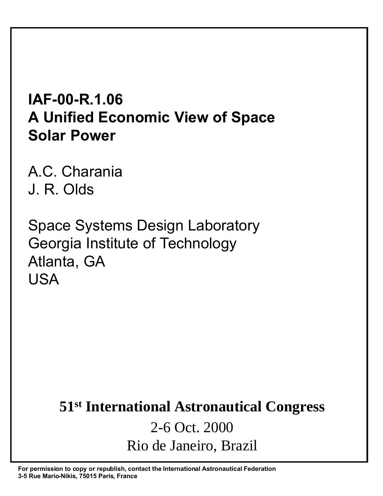# **IAF-00-R.1.06 A Unified Economic View of Space Solar Power**

A.C. Charania J. R. Olds

Space Systems Design Laboratory Georgia Institute of Technology Atlanta, GA USA

# **51st International Astronautical Congress** 2-6 Oct. 2000 Rio de Janeiro, Brazil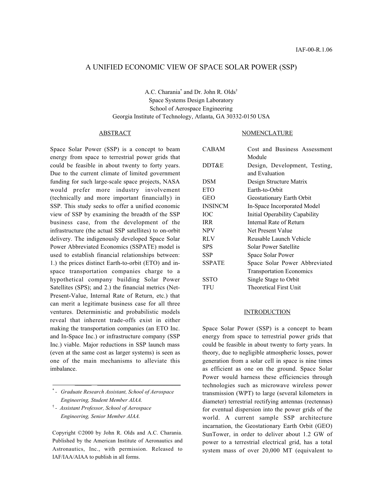# A UNIFIED ECONOMIC VIEW OF SPACE SOLAR POWER (SSP)

## A.C. Charania\* and Dr. John R. Olds† Space Systems Design Laboratory School of Aerospace Engineering Georgia Institute of Technology, Atlanta, GA 30332-0150 USA

#### ABSTRACT

Space Solar Power (SSP) is a concept to beam energy from space to terrestrial power grids that could be feasible in about twenty to forty years. Due to the current climate of limited government funding for such large-scale space projects, NASA would prefer more industry involvement (technically and more important financially) in SSP. This study seeks to offer a unified economic view of SSP by examining the breadth of the SSP business case, from the development of the infrastructure (the actual SSP satellites) to on-orbit delivery. The indigenously developed Space Solar Power Abbreviated Economics (SSPATE) model is used to establish financial relationships between: 1.) the prices distinct Earth-to-orbit (ETO) and inspace transportation companies charge to a hypothetical company building Solar Power Satellites (SPS); and 2.) the financial metrics (Net-Present-Value, Internal Rate of Return, etc.) that can merit a legitimate business case for all three ventures. Deterministic and probabilistic models reveal that inherent trade-offs exist in either making the transportation companies (an ETO Inc. and In-Space Inc.) or infrastructure company (SSP Inc.) viable. Major reductions in SSP launch mass (even at the same cost as larger systems) is seen as one of the main mechanisms to alleviate this imbalance.

 $\overline{\phantom{a}}$  , where  $\overline{\phantom{a}}$  , where  $\overline{\phantom{a}}$  , where  $\overline{\phantom{a}}$  , where  $\overline{\phantom{a}}$ 

Copyright ©2000 by John R. Olds and A.C. Charania. Published by the American Institute of Aeronautics and Astronautics, Inc., with permission. Released to IAF/IAA/AIAA to publish in all forms.

#### NOMENCLATURE

| <b>CABAM</b>   | Cost and Business Assessment    |  |  |  |
|----------------|---------------------------------|--|--|--|
|                | Module                          |  |  |  |
| DDT&E          | Design, Development, Testing,   |  |  |  |
|                | and Evaluation                  |  |  |  |
| <b>DSM</b>     | Design Structure Matrix         |  |  |  |
| <b>ETO</b>     | Earth-to-Orbit                  |  |  |  |
| <b>GEO</b>     | Geostationary Earth Orbit       |  |  |  |
| <b>INSINCM</b> | In-Space Incorporated Model     |  |  |  |
| <b>IOC</b>     | Initial Operability Capability  |  |  |  |
| <b>IRR</b>     | Internal Rate of Return         |  |  |  |
| <b>NPV</b>     | Net Present Value               |  |  |  |
| <b>RLV</b>     | Reusable Launch Vehicle         |  |  |  |
| <b>SPS</b>     | Solar Power Satellite           |  |  |  |
| <b>SSP</b>     | Space Solar Power               |  |  |  |
| <b>SSPATE</b>  | Space Solar Power Abbreviated   |  |  |  |
|                | <b>Transportation Economics</b> |  |  |  |
| <b>SSTO</b>    | Single Stage to Orbit           |  |  |  |
| TFU            | Theoretical First Unit          |  |  |  |
|                |                                 |  |  |  |

#### **INTRODUCTION**

Space Solar Power (SSP) is a concept to beam energy from space to terrestrial power grids that could be feasible in about twenty to forty years. In theory, due to negligible atmospheric losses, power generation from a solar cell in space is nine times as efficient as one on the ground. Space Solar Power would harness these efficiencies through technologies such as microwave wireless power transmission (WPT) to large (several kilometers in diameter) terrestrial rectifying antennas (rectennas) for eventual dispersion into the power grids of the world. A current sample SSP architecture incarnation, the Geostationary Earth Orbit (GEO) SunTower, in order to deliver about 1.2 GW of power to a terrestrial electrical grid, has a total system mass of over 20,000 MT (equivalent to

<sup>\*</sup> *- Graduate Research Assistant, School of Aerospace Engineering, Student Member AIAA.*

<sup>†</sup> *- Assistant Professor, School of Aerospace Engineering, Senior Member AIAA.*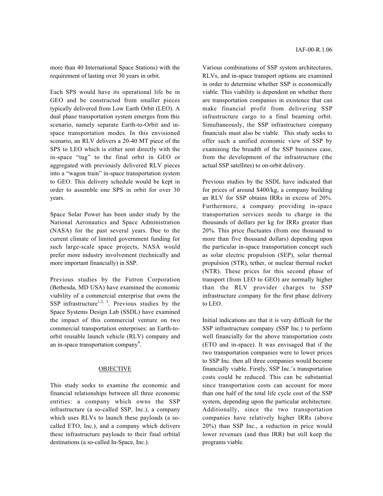more than 40 International Space Stations) with the requirement of lasting over 30 years in orbit.

Each SPS would have its operational life be in GEO and be constructed from smaller pieces typically delivered from Low Earth Orbit (LEO). A dual phase transportation system emerges from this scenario, namely separate Earth-to-Orbit and inspace transportation modes. In this envisioned scenario, an RLV delivers a 20-40 MT piece of the SPS to LEO which is either sent directly with the in-space "tug" to the final orbit in GEO or aggregated with previously delivered RLV pieces into a "wagon train" in-space transportation system to GEO. This delivery schedule would be kept in order to assemble one SPS in orbit for over 30 years.

Space Solar Power has been under study by the National Aeronautics and Space Administration (NASA) for the past several years. Due to the current climate of limited government funding for such large-scale space projects, NASA would prefer more industry involvement (technically and more important financially) in SSP.

Previous studies by the Futron Corporation (Bethesda, MD USA) have examined the economic viability of a commercial enterprise that owns the SSP infrastructure<sup>1,2, 3</sup>. Previous studies by the Space Systems Design Lab (SSDL) have examined the impact of this commercial venture on two commercial transportation enterprises: an Earth-toorbit reusable launch vehicle (RLV) company and an in-space transportation company<sup>4</sup>.

## **OBJECTIVE**

This study seeks to examine the economic and financial relationships between all three economic entities: a company which owns the SSP infrastructure (a so-called SSP, Inc.), a company which uses RLVs to launch these payloads (a socalled ETO, Inc.), and a company which delivers these infrastructure payloads to their final orbital destinations (a so-called In-Space, Inc.).

Various combinations of SSP system architectures, RLVs, and in-space transport options are examined in order to determine whether SSP is economically viable. This viability is dependent on whether there are transportation companies in existence that can make financial profit from delivering SSP infrastructure cargo to a final beaming orbit. Simultaneously, the SSP infrastructure company financials must also be viable. This study seeks to offer such a unified economic view of SSP by examining the breadth of the SSP business case, from the development of the infrastructure (the actual SSP satellites) to on-orbit delivery.

Previous studies by the SSDL have indicated that for prices of around \$400/kg, a company building an RLV for SSP obtains IRRs in excess of 20%. Furthermore, a company providing in-space transportation services needs to charge in the thousands of dollars per kg for IRRs greater than 20%. This price fluctuates (from one thousand to more than five thousand dollars) depending upon the particular in-space transportation concept such as solar electric propulsion (SEP), solar thermal propulsion (STR), tether, or nuclear thermal rocket (NTR). These prices for this second phase of transport (from LEO to GEO) are normally higher than the RLV provider charges to SSP infrastructure company for the first phase delivery to LEO.

Initial indications are that it is very difficult for the SSP infrastructure company (SSP Inc.) to perform well financially for the above transportation costs (ETO and in-space). It was envisaged that if the two transportation companies were to lower prices to SSP Inc. then all three companies would become financially viable. Firstly, SSP Inc.'s transportation costs could be reduced. This can be substantial since transportation costs can account for more than one half of the total life cycle cost of the SSP system, depending upon the particular architecture. Additionally, since the two transportation companies have relatively higher IRRs (above 20%) than SSP Inc., a reduction in price would lower revenues (and thus IRR) but still keep the programs viable.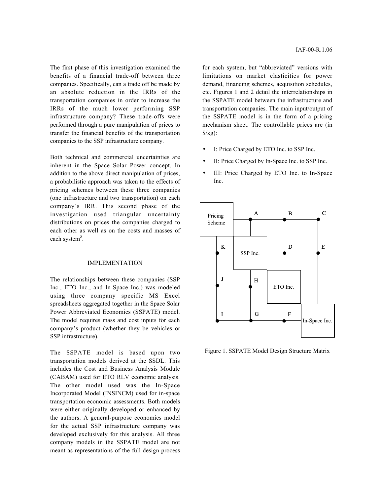The first phase of this investigation examined the benefits of a financial trade-off between three companies. Specifically, can a trade off be made by an absolute reduction in the IRRs of the transportation companies in order to increase the IRRs of the much lower performing SSP infrastructure company? These trade-offs were performed through a pure manipulation of prices to transfer the financial benefits of the transportation companies to the SSP infrastructure company.

Both technical and commercial uncertainties are inherent in the Space Solar Power concept. In addition to the above direct manipulation of prices, a probabilistic approach was taken to the effects of pricing schemes between these three companies (one infrastructure and two transportation) on each company's IRR. This second phase of the investigation used triangular uncertainty distributions on prices the companies charged to each other as well as on the costs and masses of each system<sup>5</sup>.

#### IMPLEMENTATION

The relationships between these companies (SSP Inc., ETO Inc., and In-Space Inc.) was modeled using three company specific MS Excel spreadsheets aggregated together in the Space Solar Power Abbreviated Economics (SSPATE) model. The model requires mass and cost inputs for each company's product (whether they be vehicles or SSP infrastructure).

The SSPATE model is based upon two transportation models derived at the SSDL. This includes the Cost and Business Analysis Module (CABAM) used for ETO RLV economic analysis. The other model used was the In-Space Incorporated Model (INSINCM) used for in-space transportation economic assessments. Both models were either originally developed or enhanced by the authors. A general-purpose economics model for the actual SSP infrastructure company was developed exclusively for this analysis. All three company models in the SSPATE model are not meant as representations of the full design process IAF-00-R.1.06

for each system, but "abbreviated" versions with limitations on market elasticities for power demand, financing schemes, acquisition schedules, etc. Figures 1 and 2 detail the interrelationships in the SSPATE model between the infrastructure and transportation companies. The main input/output of the SSPATE model is in the form of a pricing mechanism sheet. The controllable prices are (in  $\frac{\delta}{kg}$ :

- I: Price Charged by ETO Inc. to SSP Inc.
- II: Price Charged by In-Space Inc. to SSP Inc.
- III: Price Charged by ETO Inc. to In-Space Inc.



Figure 1. SSPATE Model Design Structure Matrix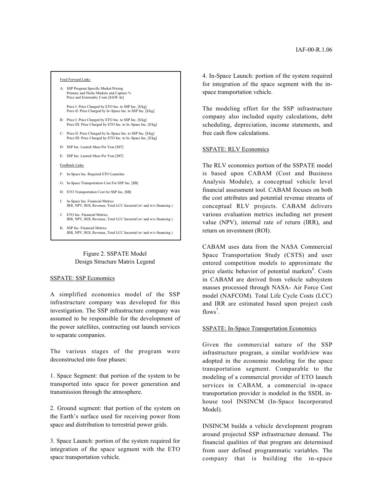#### Feed Forward Links

- A: SSP Program Specific Market Pricing Primary and Niche Markets and Capture % Price and Externality Costs [\$/kW-hr]
	- Price I: Price Charged by ETO Inc. to SSP Inc. [\$/kg] Price II: Price Charged by In-Space Inc. to SSP Inc. [\$/kg]
- B: Price I: Price Charged by ETO Inc. to SSP Inc. [\$/kg] Price III: Price Charged by ETO Inc. to In-Space Inc. [\$/kg]
- C: Price II: Price Charged by In-Space Inc. to SSP Inc. [\$/kg] Price III: Price Charged by ETO Inc. to In -Space Inc. [\$/kg]
- D: SSP Inc. Launch Mass Per Year [MT]
- E: SSP Inc. Launch Mass Per Year [MT]
- Feedback Links
- F: In-Space Inc. Required ETO Launches
- G: In-Space Transportation Cost For SSP Inc. [\$B]
- H: ETO Transportation Cost for SSP Inc. [\$B]
- I: In-Space Inc. Financial Metrics IRR, NPV, ROI, Revenue, Total LCC Incurred (w/ and w/o financing )
- J: ETO Inc. Financial Metrics IRR, NPV, ROI, Revenue, Total LCC Incurred (w/ and w/o financing )
- K: SSP Inc. Financial Metrics IRR, NPV, ROI, Revenue, Total LCC Incurred (w/ and w/o financing )

## Figure 2. SSPATE Model Design Structure Matrix Legend

#### SSPATE: SSP Economics

A simplified economics model of the SSP infrastructure company was developed for this investigation. The SSP infrastructure company was assumed to be responsible for the development of the power satellites, contracting out launch services to separate companies.

The various stages of the program were deconstructed into four phases:

1. Space Segment: that portion of the system to be transported into space for power generation and transmission through the atmosphere.

2. Ground segment: that portion of the system on the Earth's surface used for receiving power from space and distribution to terrestrial power grids.

3. Space Launch: portion of the system required for integration of the space segment with the ETO space transportation vehicle.

4. In-Space Launch: portion of the system required for integration of the space segment with the inspace transportation vehicle.

The modeling effort for the SSP infrastructure company also included equity calculations, debt scheduling, depreciation, income statements, and free cash flow calculations.

#### SSPATE: RLV Economics

The RLV economics portion of the SSPATE model is based upon CABAM (Cost and Business Analysis Module), a conceptual vehicle level financial assessment tool. CABAM focuses on both the cost attributes and potential revenue streams of conceptual RLV projects. CABAM delivers various evaluation metrics including net present value (NPV), internal rate of return (IRR), and return on investment (ROI).

CABAM uses data from the NASA Commercial Space Transportation Study (CSTS) and user entered competition models to approximate the price elastic behavior of potential markets<sup>6</sup>. Costs in CABAM are derived from vehicle subsystem masses processed through NASA- Air Force Cost model (NAFCOM). Total Life Cycle Costs (LCC) and IRR are estimated based upon project cash flows<sup>7</sup>.

## SSPATE: In-Space Transportation Economics

Given the commercial nature of the SSP infrastructure program, a similar worldview was adopted in the economic modeling for the space transportation segment. Comparable to the modeling of a commercial provider of ETO launch services in CABAM, a commercial in-space transportation provider is modeled in the SSDL inhouse tool INSINCM (In-Space Incorporated Model).

INSINCM builds a vehicle development program around projected SSP infrastructure demand. The financial qualities of that program are determined from user defined programmatic variables. The company that is building the in-space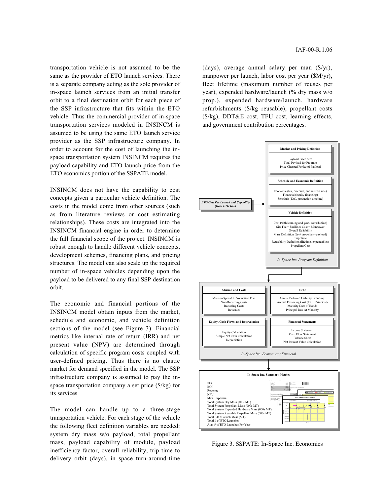transportation vehicle is not assumed to be the same as the provider of ETO launch services. There is a separate company acting as the sole provider of in-space launch services from an initial transfer orbit to a final destination orbit for each piece of the SSP infrastructure that fits within the ETO vehicle. Thus the commercial provider of in-space transportation services modeled in INSINCM is assumed to be using the same ETO launch service provider as the SSP infrastructure company. In order to account for the cost of launching the inspace transportation system INSINCM requires the payload capability and ETO launch price from the ETO economics portion of the SSPATE model.

INSINCM does not have the capability to cost concepts given a particular vehicle definition. The costs in the model come from other sources (such as from literature reviews or cost estimating relationships). These costs are integrated into the INSINCM financial engine in order to determine the full financial scope of the project. INSINCM is robust enough to handle different vehicle concepts, development schemes, financing plans, and pricing structures. The model can also scale up the required number of in-space vehicles depending upon the payload to be delivered to any final SSP destination orbit.

The economic and financial portions of the INSINCM model obtain inputs from the market, schedule and economic, and vehicle definition sections of the model (see Figure 3). Financial metrics like internal rate of return (IRR) and net present value (NPV) are determined through calculation of specific program costs coupled with user-defined pricing. Thus there is no elastic market for demand specified in the model. The SSP infrastructure company is assumed to pay the inspace transportation company a set price (\$/kg) for its services.

The model can handle up to a three-stage transportation vehicle. For each stage of the vehicle the following fleet definition variables are needed: system dry mass w/o payload, total propellant mass, payload capability of module, payload inefficiency factor, overall reliability, trip time to delivery orbit (days), in space turn-around-time

(days), average annual salary per man  $(\frac{f}{y})$ , manpower per launch, labor cost per year (\$M/yr), fleet lifetime (maximum number of reuses per year), expended hardware/launch (% dry mass w/o prop.), expended hardware/launch, hardware refurbishments (\$/kg reusable), propellant costs (\$/kg), DDT&E cost, TFU cost, learning effects, and government contribution percentages.



Figure 3. SSPATE: In-Space Inc. Economics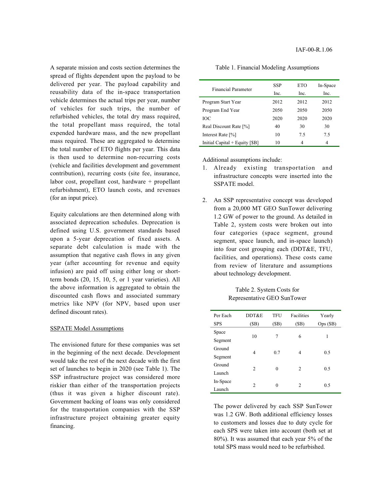A separate mission and costs section determines the spread of flights dependent upon the payload to be delivered per year. The payload capability and reusability data of the in-space transportation vehicle determines the actual trips per year, number of vehicles for such trips, the number of refurbished vehicles, the total dry mass required, the total propellant mass required, the total expended hardware mass, and the new propellant mass required. These are aggregated to determine the total number of ETO flights per year. This data is then used to determine non-recurring costs (vehicle and facilities development and government contribution), recurring costs (site fee, insurance, labor cost, propellant cost, hardware + propellant refurbishment), ETO launch costs, and revenues (for an input price).

Equity calculations are then determined along with associated deprecation schedules. Deprecation is defined using U.S. government standards based upon a 5-year deprecation of fixed assets. A separate debt calculation is made with the assumption that negative cash flows in any given year (after accounting for revenue and equity infusion) are paid off using either long or shortterm bonds (20, 15, 10, 5, or 1 year varieties). All the above information is aggregated to obtain the discounted cash flows and associated summary metrics like NPV (for NPV, based upon user defined discount rates).

### SSPATE Model Assumptions

The envisioned future for these companies was set in the beginning of the next decade. Development would take the rest of the next decade with the first set of launches to begin in 2020 (see Table 1). The SSP infrastructure project was considered more riskier than either of the transportation projects (thus it was given a higher discount rate). Government backing of loans was only considered for the transportation companies with the SSP infrastructure project obtaining greater equity financing.

| <b>Financial Parameter</b>     | <b>SSP</b><br>Inc. | ETO<br>Inc. | In-Space<br>Inc. |
|--------------------------------|--------------------|-------------|------------------|
| Program Start Year             | 2012               | 2012        | 2012             |
| Program End Year               | 2050               | 2050        | 2050             |
| ЮC                             | 2020               | 2020        | 2020             |
| Real Discount Rate [%]         | 40                 | 30          | 30               |
| Interest Rate [%]              | 10                 | 75          | 7.5              |
| Initial Capital + Equity [\$B] | 10                 | 4           | 4                |

#### Table 1. Financial Modeling Assumptions

Additional assumptions include:

- 1. Already existing transportation and infrastructure concepts were inserted into the SSPATE model.
- 2. An SSP representative concept was developed from a 20,000 MT GEO SunTower delivering 1.2 GW of power to the ground. As detailed in Table 2, system costs were broken out into four categories (space segment, ground segment, space launch, and in-space launch) into four cost grouping each (DDT&E, TFU, facilities, and operations). These costs came from review of literature and assumptions about technology development.

## Table 2. System Costs for Representative GEO SunTower

| Per Each<br><b>SPS</b> | DDT&E<br>(SB)  | TFU<br>(SB) | Facilities<br>(SB) | Yearly<br>Ops(SB) |
|------------------------|----------------|-------------|--------------------|-------------------|
| Space                  | 10             | 7           | 6                  | 1                 |
| Segment                |                |             |                    |                   |
| Ground                 | 4              | 0.7         | 4                  | 0.5               |
| Segment                |                |             |                    |                   |
| Ground                 |                |             |                    |                   |
| Launch                 | $\overline{c}$ | $\theta$    | $\overline{c}$     | 0.5               |
| In-Space               |                |             |                    |                   |
| Launch                 | $\overline{c}$ | 0           | 2                  | 0.5               |

The power delivered by each SSP SunTower was 1.2 GW. Both additional efficiency losses to customers and losses due to duty cycle for each SPS were taken into account (both set at 80%). It was assumed that each year 5% of the total SPS mass would need to be refurbished.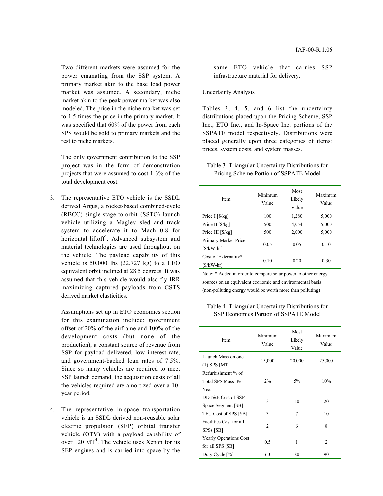Two different markets were assumed for the power emanating from the SSP system. A primary market akin to the base load power market was assumed. A secondary, niche market akin to the peak power market was also modeled. The price in the niche market was set to 1.5 times the price in the primary market. It was specified that 60% of the power from each SPS would be sold to primary markets and the rest to niche markets.

The only government contribution to the SSP project was in the form of demonstration projects that were assumed to cost 1-3% of the total development cost.

3. The representative ETO vehicle is the SSDL derived Argus, a rocket-based combined-cycle (RBCC) single-stage-to-orbit (SSTO) launch vehicle utilizing a Maglev sled and track system to accelerate it to Mach 0.8 for horizontal liftoff<sup>4</sup>. Advanced subsystem and material technologies are used throughout on the vehicle. The payload capability of this vehicle is  $50,000$  lbs  $(22,727 \text{ kg})$  to a LEO equivalent orbit inclined at 28.5 degrees. It was assumed that this vehicle would also fly IRR maximizing captured payloads from CSTS derived market elasticities.

Assumptions set up in ETO economics section for this examination include: government offset of 20% of the airframe and 100% of the development costs (but none of the production), a constant source of revenue from SSP for payload delivered, low interest rate, and government-backed loan rates of 7.5%. Since so many vehicles are required to meet SSP launch demand, the acquisition costs of all the vehicles required are amortized over a 10 year period.

4. The representative in-space transportation vehicle is an SSDL derived non-reusable solar electric propulsion (SEP) orbital transfer vehicle (OTV) with a payload capability of over  $120 \text{ MT}^4$ . The vehicle uses Xenon for its SEP engines and is carried into space by the

same ETO vehicle that carries SSP infrastructure material for delivery.

### Uncertainty Analysis

Tables 3, 4, 5, and 6 list the uncertainty distributions placed upon the Pricing Scheme, SSP Inc., ETO Inc., and In-Space Inc. portions of the SSPATE model respectively. Distributions were placed generally upon three categories of items: prices, system costs, and system masses.

## Table 3. Triangular Uncertainty Distributions for Pricing Scheme Portion of SSPATE Model

| Item                                         | Minimum<br>Value | Most<br>Likely<br>Value | Maximum<br>Value |
|----------------------------------------------|------------------|-------------------------|------------------|
| Price $I$ [ $\frac{8}{kg}$ ]                 | 100              | 1,280                   | 5,000            |
| Price II $\left[\frac{8}{kg}\right]$         | 500              | 4,054                   | 5,000            |
| Price III $\left[\frac{6}{\text{kg}}\right]$ | 500              | 2,000                   | 5,000            |
| Primary Market Price<br>[\$/kW-hr]           | 0.05             | 0.05                    | 0.10             |
| Cost of Externality*<br>[\$/kW-hr]           | 0.10             | 0.20                    | 0.30             |

Note: \* Added in order to compare solar power to other energy sources on an equivalent economic and environmental basis (non-polluting energy would be worth more than polluting)

Table 4. Triangular Uncertainty Distributions for SSP Economics Portion of SSPATE Model

| Item                          | Minimum<br>Value | Most<br>Likely<br>Value | Maximum<br>Value |
|-------------------------------|------------------|-------------------------|------------------|
| Launch Mass on one            | 15,000           | 20,000                  | 25,000           |
| $(1)$ SPS [MT]                |                  |                         |                  |
| Refurbishment % of            |                  |                         |                  |
| Total SPS Mass Per            | $2\%$            | $5\%$                   | 10%              |
| Year                          |                  |                         |                  |
| DDT&E Cost of SSP             |                  | 10                      | 20               |
| Space Segment [\$B]           | 3                |                         |                  |
| TFU Cost of SPS [\$B]         | 3                | 7                       | 10               |
| Facilities Cost for all       |                  |                         |                  |
| SPSs [\$B]                    | 2                | 6                       | 8                |
| <b>Yearly Operations Cost</b> |                  |                         |                  |
| for all SPS [\$B]             | 0.5              | 1                       | $\overline{c}$   |
| Duty Cycle [%]                | 60               | 80                      | 90               |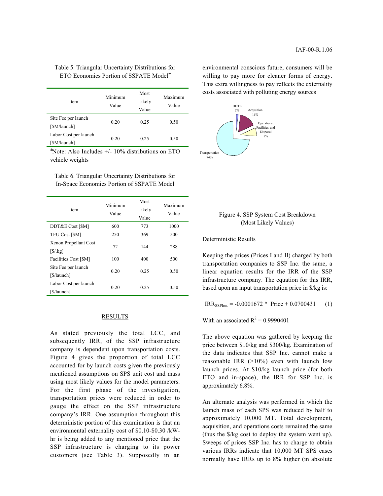## Table 5. Triangular Uncertainty Distributions for ETO Economics Portion of SSPATE Model<sup>±</sup>

| Item                                  | Minimum<br>Value | Most<br>Likely<br>Value | Maximum<br>Value |
|---------------------------------------|------------------|-------------------------|------------------|
| Site Fee per launch<br>[\$M/launch]   | 0.20             | 0.25                    | 0.50             |
| Labor Cost per launch<br>[\$M/launch] | 0.20             | 0.25                    | 0.50             |

± Note: Also Includes +/- 10% distributions on ETO vehicle weights

Table 6. Triangular Uncertainty Distributions for In-Space Economics Portion of SSPATE Model

| Item                                     | Minimum<br>Value | Most<br>Likely<br>Value | Maximum<br>Value |
|------------------------------------------|------------------|-------------------------|------------------|
| DDT&E Cost [\$M]                         | 600              | 773                     | 1000             |
| TFU Cost [\$M]                           | 250              | 369                     | 500              |
| Xenon Propellant Cost<br>$[S/\text{kg}]$ | 72               | 144                     | 288              |
| Facilities Cost [\$M]                    | 100              | 400                     | 500              |
| Site Fee per launch<br>[\$/launch]       | 0.20             | 0.25                    | 0.50             |
| Labor Cost per launch<br>[\$/launch]     | 0.20             | 0.25                    | 0.50             |

## RESULTS

As stated previously the total LCC, and subsequently IRR, of the SSP infrastructure company is dependent upon transportation costs. Figure 4 gives the proportion of total LCC accounted for by launch costs given the previously mentioned assumptions on SPS unit cost and mass using most likely values for the model parameters. For the first phase of the investigation, transportation prices were reduced in order to gauge the effect on the SSP infrastructure company's IRR. One assumption throughout this deterministic portion of this examination is that an environmental externality cost of \$0.10-\$0.30 /kWhr is being added to any mentioned price that the SSP infrastructure is charging to its power customers (see Table 3). Supposedly in an environmental conscious future, consumers will be willing to pay more for cleaner forms of energy. This extra willingness to pay reflects the externality costs associated with polluting energy sources



## Figure 4. SSP System Cost Breakdown (Most Likely Values)

### Deterministic Results

Keeping the prices (Prices I and II) charged by both transportation companies to SSP Inc. the same, a linear equation results for the IRR of the SSP infrastructure company. The equation for this IRR, based upon an input transportation price in \$/kg is:

 $IRR_{SSPInc.} = -0.0001672 * Price + 0.0700431$  (1)

With an associated  $R^2 = 0.9990401$ 

The above equation was gathered by keeping the price between \$10/kg and \$300/kg. Examination of the data indicates that SSP Inc. cannot make a reasonable IRR  $(>10\%)$  even with launch low launch prices. At \$10/kg launch price (for both ETO and in-space), the IRR for SSP Inc. is approximately 6.8%.

An alternate analysis was performed in which the launch mass of each SPS was reduced by half to approximately 10,000 MT. Total development, acquisition, and operations costs remained the same (thus the \$/kg cost to deploy the system went up). Sweeps of prices SSP Inc. has to charge to obtain various IRRs indicate that 10,000 MT SPS cases normally have IRRs up to 8% higher (in absolute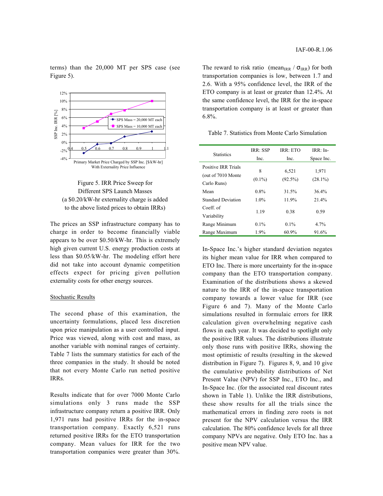terms) than the 20,000 MT per SPS case (see Figure 5).





The prices an SSP infrastructure company has to charge in order to become financially viable appears to be over \$0.50/kW-hr. This is extremely high given current U.S. energy production costs at less than \$0.05/kW-hr. The modeling effort here did not take into account dynamic competition effects expect for pricing given pollution externality costs for other energy sources.

#### Stochastic Results

The second phase of this examination, the uncertainty formulations, placed less discretion upon price manipulation as a user controlled input. Price was viewed, along with cost and mass, as another variable with nominal ranges of certainty. Table 7 lists the summary statistics for each of the three companies in the study. It should be noted that not every Monte Carlo run netted positive IRRs.

Results indicate that for over 7000 Monte Carlo simulations only 3 runs made the SSP infrastructure company return a positive IRR. Only 1,971 runs had positive IRRs for the in-space transportation company. Exactly 6,521 runs returned positive IRRs for the ETO transportation company. Mean values for IRR for the two transportation companies were greater than 30%.

The reward to risk ratio (mean<sub>IRR</sub> /  $\sigma_{\text{IRR}}$ ) for both transportation companies is low, between 1.7 and 2.6. With a 95% confidence level, the IRR of the ETO company is at least or greater than 12.4%. At the same confidence level, the IRR for the in-space transportation company is at least or greater than 6.8%.

Table 7. Statistics from Monte Carlo Simulation

| <b>Statistics</b>         | IRR: SSP<br>Inc. | IRR: ETO<br>Inc. | $IRR \cdot In-$<br>Space Inc. |
|---------------------------|------------------|------------------|-------------------------------|
| Positive IRR Trials       | 8                |                  |                               |
| (out of 7010 Monte)       |                  | 6,521            | 1,971                         |
| Carlo Runs)               | $(0.1\%)$        | $(92.5\%)$       | $(28.1\%)$                    |
| Mean                      | $0.8\%$          | 31.5%            | 36.4%                         |
| <b>Standard Deviation</b> | $1.0\%$          | 11.9%            | 21.4%                         |
| Coeff of                  |                  | 0.38             | 0.59                          |
| Variability               | 1.19             |                  |                               |
| Range Minimum             | $0.1\%$          | $0.1\%$          | 4.7%                          |
| Range Maximum             | 1.9%             | 60.9%            | 91.6%                         |

In-Space Inc.'s higher standard deviation negates its higher mean value for IRR when compared to ETO Inc. There is more uncertainty for the in-space company than the ETO transportation company. Examination of the distributions shows a skewed nature to the IRR of the in-space transportation company towards a lower value for IRR (see Figure 6 and 7). Many of the Monte Carlo simulations resulted in formulaic errors for IRR calculation given overwhelming negative cash flows in each year. It was decided to spotlight only the positive IRR values. The distributions illustrate only those runs with positive IRRs, showing the most optimistic of results (resulting in the skewed distribution in Figure 7). Figures 8, 9, and 10 give the cumulative probability distributions of Net Present Value (NPV) for SSP Inc., ETO Inc., and In-Space Inc. (for the associated real discount rates shown in Table 1). Unlike the IRR distributions, these show results for all the trials since the mathematical errors in finding zero roots is not present for the NPV calculation versus the IRR calculation. The 80% confidence levels for all three company NPVs are negative. Only ETO Inc. has a positive mean NPV value.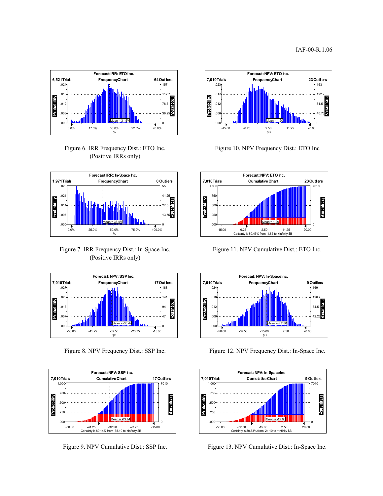

Figure 6. IRR Frequency Dist.: ETO Inc. (Positive IRRs only)



Figure 7. IRR Frequency Dist.: In-Space Inc. (Positive IRRs only)



Figure 8. NPV Frequency Dist.: SSP Inc.



Figure 9. NPV Cumulative Dist.: SSP Inc.



Figure 10. NPV Frequency Dist.: ETO Inc



Figure 11. NPV Cumulative Dist.: ETO Inc.



Figure 12. NPV Frequency Dist.: In-Space Inc.



Figure 13. NPV Cumulative Dist.: In-Space Inc.